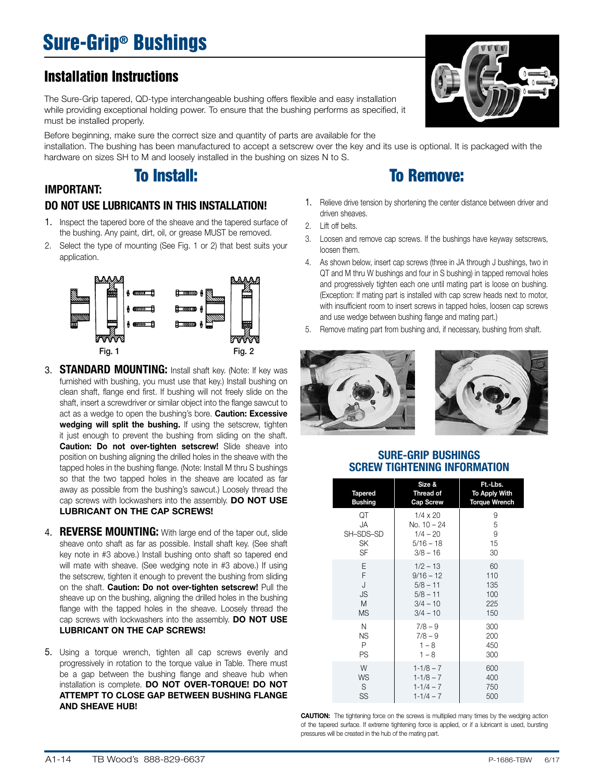# Sure-Grip® Bushings

## Installation Instructions

IMPORTANT:

The Sure-Grip tapered, QD-type interchangeable bushing offers flexible and easy installation while providing exceptional holding power. To ensure that the bushing performs as specified, it must be installed properly.

Before beginning, make sure the correct size and quantity of parts are available for the installation. The bushing has been manufactured to accept a setscrew over the key and its use is optional. It is packaged with the hardware on sizes SH to M and loosely installed in the bushing on sizes N to S.

# To Install:

### DO NOT USE LUBRICANTS IN THIS INSTALLATION!

- 1. Inspect the tapered bore of the sheave and the tapered surface of the bushing. Any paint, dirt, oil, or grease MUST be removed.
- 2. Select the type of mounting (See Fig. 1 or 2) that best suits your application.



- 3. **STANDARD MOUNTING:** Install shaft key. (Note: If key was furnished with bushing, you must use that key.) Install bushing on clean shaft, flange end first. If bushing will not freely slide on the shaft, insert a screwdriver or similar object into the flange sawcut to act as a wedge to open the bushing's bore. **Caution: Excessive** wedging will split the bushing. If using the setscrew, tighten it just enough to prevent the bushing from sliding on the shaft. Caution: Do not over-tighten setscrew! Slide sheave into position on bushing aligning the drilled holes in the sheave with the tapped holes in the bushing flange. (Note: Install M thru S bushings so that the two tapped holes in the sheave are located as far away as possible from the bushing's sawcut.) Loosely thread the cap screws with lockwashers into the assembly. DO NOT USE LUBRICANT ON THE CAP SCREWS!
- 4. **REVERSE MOUNTING:** With large end of the taper out, slide sheave onto shaft as far as possible. Install shaft key. (See shaft key note in #3 above.) Install bushing onto shaft so tapered end will mate with sheave. (See wedging note in #3 above.) If using the setscrew, tighten it enough to prevent the bushing from sliding on the shaft. Caution: Do not over-tighten setscrew! Pull the sheave up on the bushing, aligning the drilled holes in the bushing flange with the tapped holes in the sheave. Loosely thread the cap screws with lockwashers into the assembly. DO NOT USE LUBRICANT ON THE CAP SCREWS!
- 5. Using a torque wrench, tighten all cap screws evenly and progressively in rotation to the torque value in Table. There must be a gap between the bushing flange and sheave hub when installation is complete. DO NOT OVER-TORQUE! DO NOT ATTEMPT TO CLOSE GAP BETWEEN BUSHING FLANGE AND SHEAVE HUB!

# To Remove:

- 1. Relieve drive tension by shortening the center distance between driver and driven sheaves.
- 2. Lift off belts.
- 3. Loosen and remove cap screws. If the bushings have keyway setscrews, loosen them.
- 4. As shown below, insert cap screws (three in JA through J bushings, two in QT and M thru W bushings and four in S bushing) in tapped removal holes and progressively tighten each one until mating part is loose on bushing. (Exception: If mating part is installed with cap screw heads next to motor, with insufficient room to insert screws in tapped holes, loosen cap screws and use wedge between bushing flange and mating part.)
- 5. Remove mating part from bushing and, if necessary, bushing from shaft.





#### SURE-GRIP BUSHINGS SCREW TIGHTENING INFORMATION

| <b>Tapered</b><br><b>Bushing</b> | Size &<br>Thread of<br>Cap Screw | Ft.-Lbs.<br><b>To Apply With</b><br><b>Torque Wrench</b> |
|----------------------------------|----------------------------------|----------------------------------------------------------|
| QT                               | $1/4 \times 20$                  | 9                                                        |
| JA                               | No. 10 - 24                      | 5                                                        |
| SH-SDS-SD                        | $1/4 - 20$                       | 9                                                        |
| SK                               | $5/16 - 18$                      | 15                                                       |
| SF                               | $3/8 - 16$                       | 30                                                       |
| E                                | $1/2 - 13$                       | 60                                                       |
| F                                | $9/16 - 12$                      | 110                                                      |
| J                                | $5/8 - 11$                       | 135                                                      |
| JS                               | $5/8 - 11$                       | 100                                                      |
| M                                | $3/4 - 10$                       | 225                                                      |
| <b>MS</b>                        | $3/4 - 10$                       | 150                                                      |
| N                                | $7/8 - 9$                        | 300                                                      |
| ΝS                               | $7/8 - 9$                        | 200                                                      |
| P                                | $1 - 8$                          | 450                                                      |
| PS                               | $1 - 8$                          | 300                                                      |
| W                                | $1 - 1/8 - 7$                    | 600                                                      |
| <b>WS</b>                        | $1 - 1/8 - 7$                    | 400                                                      |
| S                                | $1 - 1/4 - 7$                    | 750                                                      |
| SS                               | $1 - 1/4 - 7$                    | 500                                                      |

**CAUTION:** The tightening force on the screws is multiplied many times by the wedging action of the tapered surface. If extreme tightening force is applied, or if a lubricant is used, bursting pressures will be created in the hub of the mating part.